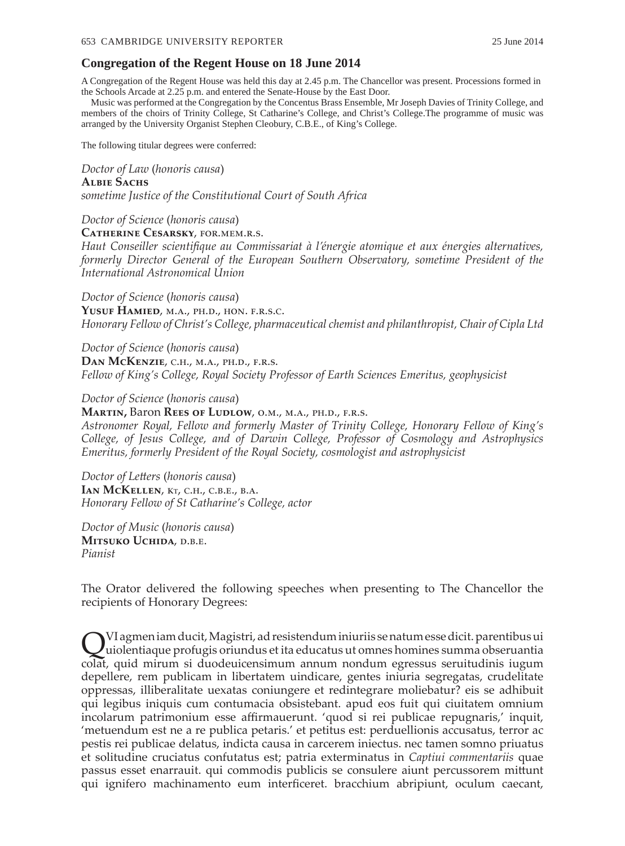### **Congregation of the Regent House on 18 June 2014**

A Congregation of the Regent House was held this day at 2.45 p.m. The Chancellor was present. Processions formed in the Schools Arcade at 2.25 p.m. and entered the Senate-House by the East Door.

Music was performed at the Congregation by the Concentus Brass Ensemble, Mr Joseph Davies of Trinity College, and members of the choirs of Trinity College, St Catharine's College, and Christ's College.The programme of music was arranged by the University Organist Stephen Cleobury, C.B.E., of King's College.

The following titular degrees were conferred:

### *Doctor of Law* (*honoris causa*)

#### **Albie Sachs**

*sometime Justice of the Constitutional Court of South Africa*

#### *Doctor of Science* (*honoris causa*)

**Catherine Cesarsky**, for.mem.r.s.

*Haut Conseiller scientifique au Commissariat à l'énergie atomique et aux énergies alternatives, formerly Director General of the European Southern Observatory, sometime President of the International Astronomical Union*

*Doctor of Science* (*honoris causa*)

YUSUF HAMIED, M.A., PH.D., HON. F.R.S.C. *Honorary Fellow of Christ's College, pharmaceutical chemist and philanthropist, Chair of Cipla Ltd*

*Doctor of Science* (*honoris causa*) **Dan McKenzie**, c.h., m.a., ph.d., f.r.s. *Fellow of King's College, Royal Society Professor of Earth Sciences Emeritus, geophysicist*

*Doctor of Science* (*honoris causa*)

#### **Martin,** Baron **Rees of Ludlow**, o.m., m.a., ph.d., f.r.s.

*Astronomer Royal, Fellow and formerly Master of Trinity College, Honorary Fellow of King's College, of Jesus College, and of Darwin College, Professor of Cosmology and Astrophysics Emeritus, formerly President of the Royal Society, cosmologist and astrophysicist*

*Doctor of Letters* (*honoris causa*) **IAN MCKELLEN, KT, C.H., C.B.E., B.A.** *Honorary Fellow of St Catharine's College, actor*

*Doctor of Music* (*honoris causa*) **Mitsuko Uchida**, d.b.e. *Pianist*

The Orator delivered the following speeches when presenting to The Chancellor the recipients of Honorary Degrees:

QVI agmen iam ducit, Magistri, ad resistendum iniuriis se natum esse dicit. parentibus ui uiolentiaque profugis oriundus et ita educatus ut omnes homines summa obseruantia colat, quid mirum si duodeuicensimum annum nondum egressus seruitudinis iugum depellere, rem publicam in libertatem uindicare, gentes iniuria segregatas, crudelitate oppressas, illiberalitate uexatas coniungere et redintegrare moliebatur? eis se adhibuit qui legibus iniquis cum contumacia obsistebant. apud eos fuit qui ciuitatem omnium incolarum patrimonium esse affirmauerunt. 'quod si rei publicae repugnaris,' inquit, 'metuendum est ne a re publica petaris.' et petitus est: perduellionis accusatus, terror ac pestis rei publicae delatus, indicta causa in carcerem iniectus. nec tamen somno priuatus et solitudine cruciatus confutatus est; patria exterminatus in *Captiui commentariis* quae passus esset enarrauit. qui commodis publicis se consulere aiunt percussorem mittunt qui ignifero machinamento eum interficeret. bracchium abripiunt, oculum caecant,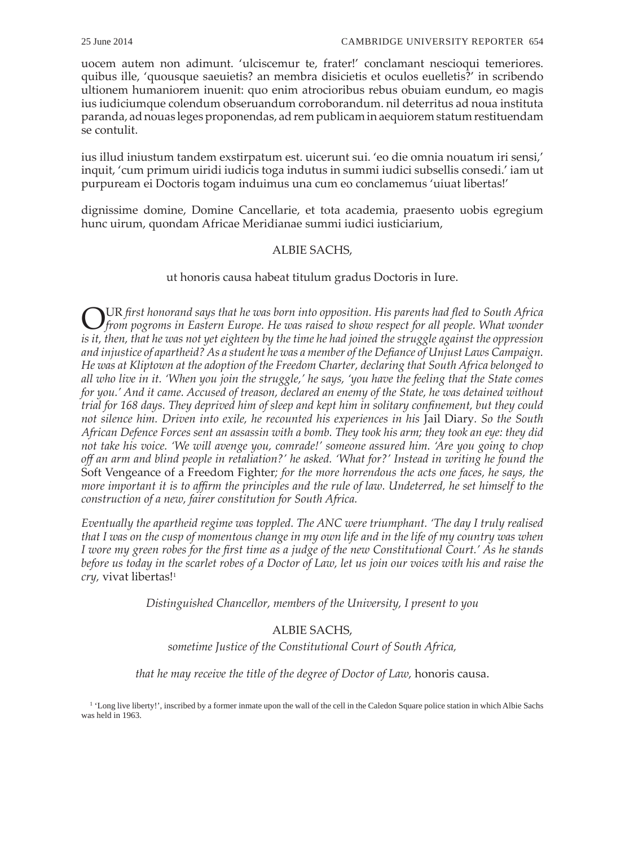uocem autem non adimunt. 'ulciscemur te, frater!' conclamant nescioqui temeriores. quibus ille, 'quousque saeuietis? an membra disicietis et oculos euelletis?' in scribendo ultionem humaniorem inuenit: quo enim atrocioribus rebus obuiam eundum, eo magis ius iudiciumque colendum obseruandum corroborandum. nil deterritus ad noua instituta paranda, ad nouas leges proponendas, ad rem publicam in aequiorem statum restituendam se contulit.

ius illud iniustum tandem exstirpatum est. uicerunt sui. 'eo die omnia nouatum iri sensi,' inquit, 'cum primum uiridi iudicis toga indutus in summi iudici subsellis consedi.' iam ut purpuream ei Doctoris togam induimus una cum eo conclamemus 'uiuat libertas!'

dignissime domine, Domine Cancellarie, et tota academia, praesento uobis egregium hunc uirum, quondam Africae Meridianae summi iudici iusticiarium,

## ALBIE SACHS,

## ut honoris causa habeat titulum gradus Doctoris in Iure.

OUR *first honorand says that he was born into opposition. His parents had fled to South Africa from pogroms in Eastern Europe. He was raised to show respect for all people. What wonder is it, then, that he was not yet eighteen by the time he had joined the struggle against the oppression and injustice of apartheid? As a student he was a member of the Defiance of Unjust Laws Campaign. He was at Kliptown at the adoption of the Freedom Charter, declaring that South Africa belonged to all who live in it. 'When you join the struggle,' he says, 'you have the feeling that the State comes for you.' And it came. Accused of treason, declared an enemy of the State, he was detained without trial for 168 days. They deprived him of sleep and kept him in solitary confinement, but they could not silence him. Driven into exile, he recounted his experiences in his* Jail Diary*. So the South African Defence Forces sent an assassin with a bomb. They took his arm; they took an eye: they did not take his voice. 'We will avenge you, comrade!' someone assured him. 'Are you going to chop off an arm and blind people in retaliation?' he asked. 'What for?' Instead in writing he found the*  Soft Vengeance of a Freedom Fighter*; for the more horrendous the acts one faces, he says, the more important it is to affirm the principles and the rule of law. Undeterred, he set himself to the construction of a new, fairer constitution for South Africa.*

*Eventually the apartheid regime was toppled. The ANC were triumphant. 'The day I truly realised that I was on the cusp of momentous change in my own life and in the life of my country was when I wore my green robes for the first time as a judge of the new Constitutional Court.' As he stands before us today in the scarlet robes of a Doctor of Law, let us join our voices with his and raise the cry*, vivat libertas!<sup>1</sup>

*Distinguished Chancellor, members of the University, I present to you*

# ALBIE SACHS,

*sometime Justice of the Constitutional Court of South Africa,* 

*that he may receive the title of the degree of Doctor of Law,* honoris causa.

<sup>1</sup> 'Long live liberty!', inscribed by a former inmate upon the wall of the cell in the Caledon Square police station in which Albie Sachs was held in 1963.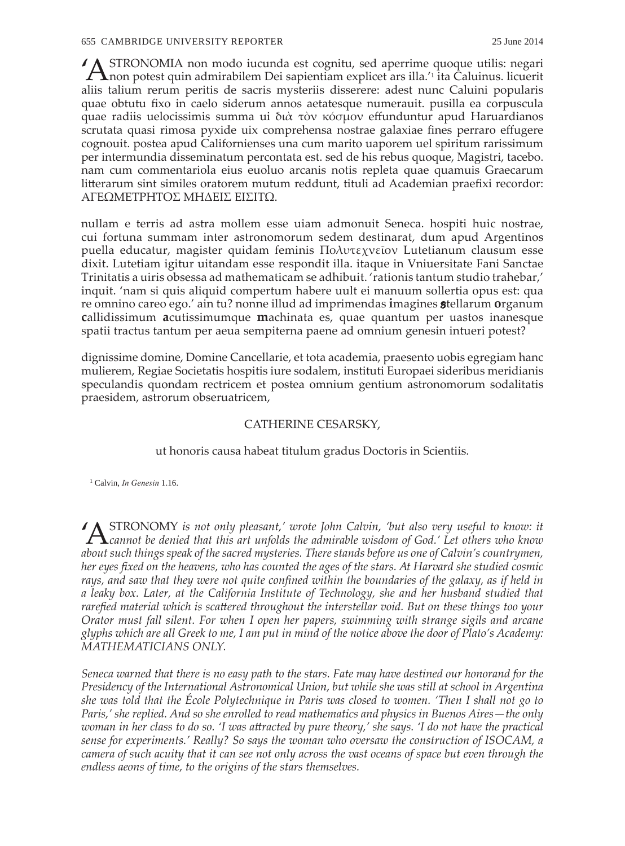'ASTRONOMIA non modo iucunda est cognitu, sed aperrime quoque utilis: negari non potest quin admirabilem Dei sapientiam explicet ars illa.'<sup>1</sup> ita Caluinus. licuerit aliis talium rerum peritis de sacris mysteriis disserere: adest nunc Caluini popularis quae obtutu fixo in caelo siderum annos aetatesque numerauit. pusilla ea corpuscula quae radiis uelocissimis summa ui διὰ τὸν κόσμον effunduntur apud Haruardianos scrutata quasi rimosa pyxide uix comprehensa nostrae galaxiae fines perraro effugere cognouit. postea apud Californienses una cum marito uaporem uel spiritum rarissimum per intermundia disseminatum percontata est. sed de his rebus quoque, Magistri, tacebo. nam cum commentariola eius euoluo arcanis notis repleta quae quamuis Graecarum litterarum sint similes oratorem mutum reddunt, tituli ad Academian praefixi recordor: ΑΓΕΩΜΕΤΡΗΤΟΣ ΜΗΔΕΙΣ ΕΙΣΙΤΩ.

nullam e terris ad astra mollem esse uiam admonuit Seneca. hospiti huic nostrae, cui fortuna summam inter astronomorum sedem destinarat, dum apud Argentinos puella educatur, magister quidam feminis Πολυτεχνεῖον Lutetianum clausum esse dixit. Lutetiam igitur uitandam esse respondit illa. itaque in Vniuersitate Fani Sanctae Trinitatis a uiris obsessa ad mathematicam se adhibuit. 'rationis tantum studio trahebar,' inquit. 'nam si quis aliquid compertum habere uult ei manuum sollertia opus est: qua re omnino careo ego.' ain tu? nonne illud ad imprimendas **i**magines **s**tellarum **o**rganum **c**allidissimum **a**cutissimumque **m**achinata es, quae quantum per uastos inanesque spatii tractus tantum per aeua sempiterna paene ad omnium genesin intueri potest?

dignissime domine, Domine Cancellarie, et tota academia, praesento uobis egregiam hanc mulierem, Regiae Societatis hospitis iure sodalem, instituti Europaei sideribus meridianis speculandis quondam rectricem et postea omnium gentium astronomorum sodalitatis praesidem, astrorum obseruatricem,

### CATHERINE CESARSKY,

ut honoris causa habeat titulum gradus Doctoris in Scientiis.

1 Calvin, *In Genesin* 1.16.

'ASTRONOMY *is not only pleasant,' wrote John Calvin, 'but also very useful to know: it cannot be denied that this art unfolds the admirable wisdom of God.' Let others who know about such things speak of the sacred mysteries. There stands before us one of Calvin's countrymen, her eyes fixed on the heavens, who has counted the ages of the stars. At Harvard she studied cosmic rays, and saw that they were not quite confined within the boundaries of the galaxy, as if held in a leaky box. Later, at the California Institute of Technology, she and her husband studied that rarefied material which is scattered throughout the interstellar void. But on these things too your Orator must fall silent. For when I open her papers, swimming with strange sigils and arcane glyphs which are all Greek to me, I am put in mind of the notice above the door of Plato's Academy: MATHEMATICIANS ONLY.*

*Seneca warned that there is no easy path to the stars. Fate may have destined our honorand for the Presidency of the International Astronomical Union, but while she was still at school in Argentina she was told that the École Polytechnique in Paris was closed to women. 'Then I shall not go to Paris,' she replied. And so she enrolled to read mathematics and physics in Buenos Aires—the only*  woman in her class to do so. 'I was attracted by pure theory,' she says. 'I do not have the practical *sense for experiments.' Really? So says the woman who oversaw the construction of ISOCAM, a camera of such acuity that it can see not only across the vast oceans of space but even through the endless aeons of time, to the origins of the stars themselves.*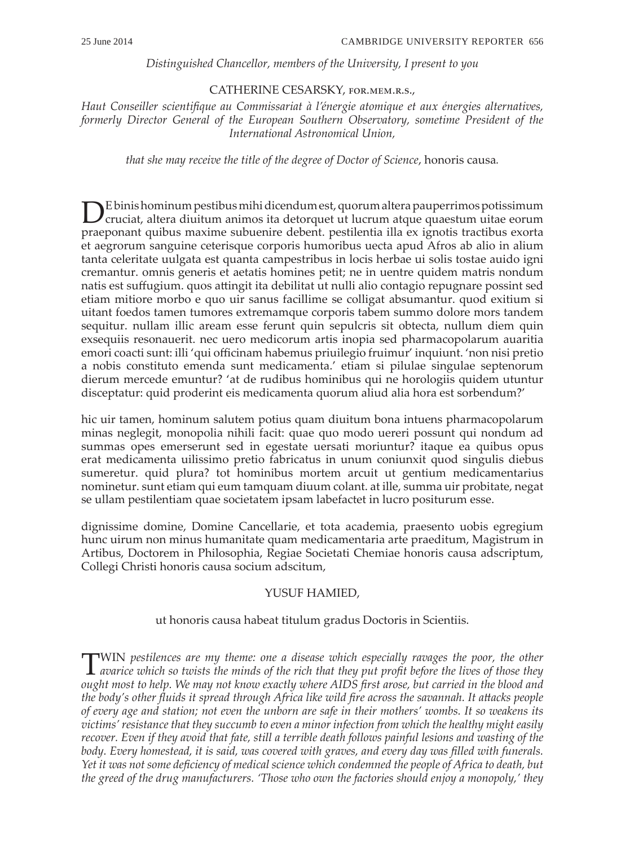## *Distinguished Chancellor, members of the University, I present to you*

## CATHERINE CESARSKY, for.mem.r.s.,

*Haut Conseiller scientifique au Commissariat à l'énergie atomique et aux énergies alternatives, formerly Director General of the European Southern Observatory, sometime President of the International Astronomical Union,* 

*that she may receive the title of the degree of Doctor of Science*, honoris causa*.*

DE binis hominum pestibus mihi dicendum est, quorum altera pauperrimos potissimum cruciat, altera diuitum animos ita detorquet ut lucrum atque quaestum uitae eorum praeponant quibus maxime subuenire debent. pestilentia illa ex ignotis tractibus exorta et aegrorum sanguine ceterisque corporis humoribus uecta apud Afros ab alio in alium tanta celeritate uulgata est quanta campestribus in locis herbae ui solis tostae auido igni cremantur. omnis generis et aetatis homines petit; ne in uentre quidem matris nondum natis est suffugium. quos attingit ita debilitat ut nulli alio contagio repugnare possint sed etiam mitiore morbo e quo uir sanus facillime se colligat absumantur. quod exitium si uitant foedos tamen tumores extremamque corporis tabem summo dolore mors tandem sequitur. nullam illic aream esse ferunt quin sepulcris sit obtecta, nullum diem quin exsequiis resonauerit. nec uero medicorum artis inopia sed pharmacopolarum auaritia emori coacti sunt: illi 'qui officinam habemus priuilegio fruimur' inquiunt. 'non nisi pretio a nobis constituto emenda sunt medicamenta.' etiam si pilulae singulae septenorum dierum mercede emuntur? 'at de rudibus hominibus qui ne horologiis quidem utuntur disceptatur: quid proderint eis medicamenta quorum aliud alia hora est sorbendum?'

hic uir tamen, hominum salutem potius quam diuitum bona intuens pharmacopolarum minas neglegit, monopolia nihili facit: quae quo modo uereri possunt qui nondum ad summas opes emerserunt sed in egestate uersati moriuntur? itaque ea quibus opus erat medicamenta uilissimo pretio fabricatus in unum coniunxit quod singulis diebus sumeretur. quid plura? tot hominibus mortem arcuit ut gentium medicamentarius nominetur. sunt etiam qui eum tamquam diuum colant. at ille, summa uir probitate, negat se ullam pestilentiam quae societatem ipsam labefactet in lucro positurum esse.

dignissime domine, Domine Cancellarie, et tota academia, praesento uobis egregium hunc uirum non minus humanitate quam medicamentaria arte praeditum, Magistrum in Artibus, Doctorem in Philosophia, Regiae Societati Chemiae honoris causa adscriptum, Collegi Christi honoris causa socium adscitum,

## YUSUF HAMIED,

## ut honoris causa habeat titulum gradus Doctoris in Scientiis.

TWIN *pestilences are my theme: one a disease which especially ravages the poor, the other avarice which so twists the minds of the rich that they put profit before the lives of those they ought most to help. We may not know exactly where AIDS first arose, but carried in the blood and the body's other fluids it spread through Africa like wild fire across the savannah. It attacks people of every age and station; not even the unborn are safe in their mothers' wombs. It so weakens its victims' resistance that they succumb to even a minor infection from which the healthy might easily recover. Even if they avoid that fate, still a terrible death follows painful lesions and wasting of the body. Every homestead, it is said, was covered with graves, and every day was filled with funerals. Yet it was not some deficiency of medical science which condemned the people of Africa to death, but the greed of the drug manufacturers. 'Those who own the factories should enjoy a monopoly,' they*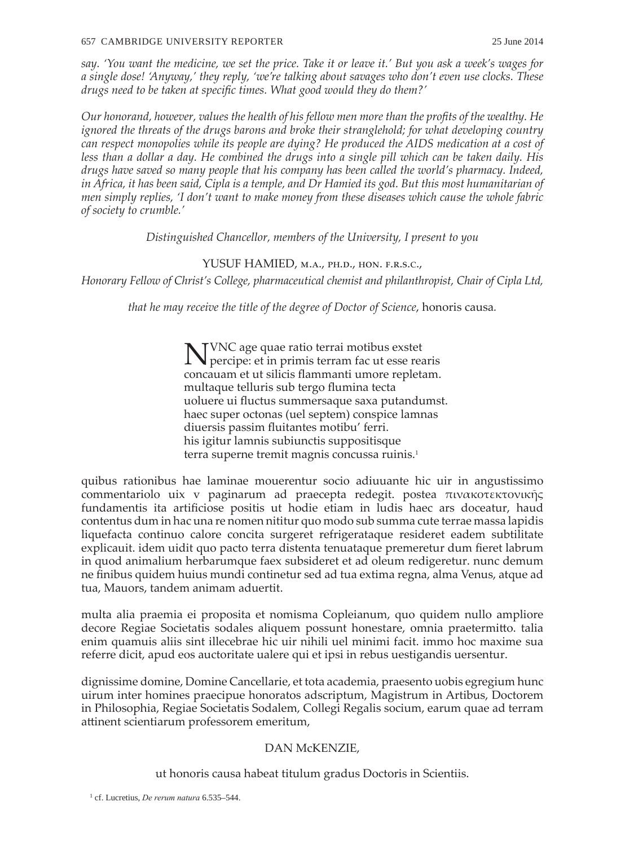#### 657 CAMBRIDGE UNIVERSITY REPORTER 25 June 2014

*say. 'You want the medicine, we set the price. Take it or leave it.' But you ask a week's wages for a single dose! 'Anyway,' they reply, 'we're talking about savages who don't even use clocks. These drugs need to be taken at specific times. What good would they do them?'*

*Our honorand, however, values the health of his fellow men more than the profits of the wealthy. He ignored the threats of the drugs barons and broke their stranglehold; for what developing country can respect monopolies while its people are dying? He produced the AIDS medication at a cost of less than a dollar a day. He combined the drugs into a single pill which can be taken daily. His drugs have saved so many people that his company has been called the world's pharmacy. Indeed, in Africa, it has been said, Cipla is a temple, and Dr Hamied its god. But this most humanitarian of men simply replies, 'I don't want to make money from these diseases which cause the whole fabric of society to crumble.'*

*Distinguished Chancellor, members of the University, I present to you*

## YUSUF HAMIED, M.A., PH.D., HON. F.R.S.C.,

*Honorary Fellow of Christ's College, pharmaceutical chemist and philanthropist, Chair of Cipla Ltd,*

*that he may receive the title of the degree of Doctor of Science*, honoris causa*.*

NVNC age quae ratio terrai motibus exstet percipe: et in primis terram fac ut esse rearis concauam et ut silicis flammanti umore repletam. multaque telluris sub tergo flumina tecta uoluere ui fluctus summersaque saxa putandumst. haec super octonas (uel septem) conspice lamnas diuersis passim fluitantes motibu' ferri. his igitur lamnis subiunctis suppositisque terra superne tremit magnis concussa ruinis.<sup>1</sup>

quibus rationibus hae laminae mouerentur socio adiuuante hic uir in angustissimo commentariolo uix v paginarum ad praecepta redegit. postea πινακοτεκτονικῆς fundamentis ita artificiose positis ut hodie etiam in ludis haec ars doceatur, haud contentus dum in hac una re nomen nititur quo modo sub summa cute terrae massa lapidis liquefacta continuo calore concita surgeret refrigerataque resideret eadem subtilitate explicauit. idem uidit quo pacto terra distenta tenuataque premeretur dum fieret labrum in quod animalium herbarumque faex subsideret et ad oleum redigeretur. nunc demum ne finibus quidem huius mundi continetur sed ad tua extima regna, alma Venus, atque ad tua, Mauors, tandem animam aduertit.

multa alia praemia ei proposita et nomisma Copleianum, quo quidem nullo ampliore decore Regiae Societatis sodales aliquem possunt honestare, omnia praetermitto. talia enim quamuis aliis sint illecebrae hic uir nihili uel minimi facit. immo hoc maxime sua referre dicit, apud eos auctoritate ualere qui et ipsi in rebus uestigandis uersentur.

dignissime domine, Domine Cancellarie, et tota academia, praesento uobis egregium hunc uirum inter homines praecipue honoratos adscriptum, Magistrum in Artibus, Doctorem in Philosophia, Regiae Societatis Sodalem, Collegi Regalis socium, earum quae ad terram attinent scientiarum professorem emeritum,

# DAN McKENZIE,

ut honoris causa habeat titulum gradus Doctoris in Scientiis.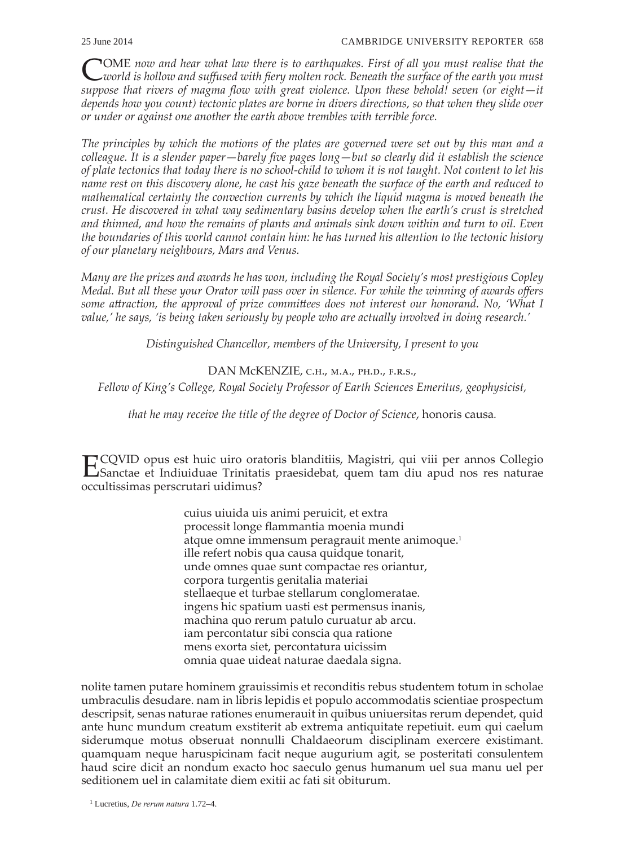COME *now and hear what law there is to earthquakes. First of all you must realise that the world is hollow and suffused with fiery molten rock. Beneath the surface of the earth you must suppose that rivers of magma flow with great violence. Upon these behold! seven (or eight—it depends how you count) tectonic plates are borne in divers directions, so that when they slide over or under or against one another the earth above trembles with terrible force.*

*The principles by which the motions of the plates are governed were set out by this man and a colleague. It is a slender paper—barely five pages long—but so clearly did it establish the science of plate tectonics that today there is no school-child to whom it is not taught. Not content to let his name rest on this discovery alone, he cast his gaze beneath the surface of the earth and reduced to mathematical certainty the convection currents by which the liquid magma is moved beneath the crust. He discovered in what way sedimentary basins develop when the earth's crust is stretched and thinned, and how the remains of plants and animals sink down within and turn to oil. Even the boundaries of this world cannot contain him: he has turned his attention to the tectonic history of our planetary neighbours, Mars and Venus.*

*Many are the prizes and awards he has won, including the Royal Society's most prestigious Copley Medal. But all these your Orator will pass over in silence. For while the winning of awards offers some attraction, the approval of prize committees does not interest our honorand. No, 'What I value,' he says, 'is being taken seriously by people who are actually involved in doing research.'*

*Distinguished Chancellor, members of the University, I present to you*

DAN McKENZIE, C.H., M.A., PH.D., F.R.S.,

*Fellow of King's College, Royal Society Professor of Earth Sciences Emeritus, geophysicist,* 

*that he may receive the title of the degree of Doctor of Science*, honoris causa*.*

ECQVID opus est huic uiro oratoris blanditiis, Magistri, qui viii per annos Collegio Sanctae et Indiuiduae Trinitatis praesidebat, quem tam diu apud nos res naturae occultissimas perscrutari uidimus?

> cuius uiuida uis animi peruicit, et extra processit longe flammantia moenia mundi atque omne immensum peragrauit mente animoque.<sup>1</sup> ille refert nobis qua causa quidque tonarit, unde omnes quae sunt compactae res oriantur, corpora turgentis genitalia materiai stellaeque et turbae stellarum conglomeratae. ingens hic spatium uasti est permensus inanis, machina quo rerum patulo curuatur ab arcu. iam percontatur sibi conscia qua ratione mens exorta siet, percontatura uicissim omnia quae uideat naturae daedala signa.

nolite tamen putare hominem grauissimis et reconditis rebus studentem totum in scholae umbraculis desudare. nam in libris lepidis et populo accommodatis scientiae prospectum descripsit, senas naturae rationes enumerauit in quibus uniuersitas rerum dependet, quid ante hunc mundum creatum exstiterit ab extrema antiquitate repetiuit. eum qui caelum siderumque motus obseruat nonnulli Chaldaeorum disciplinam exercere existimant. quamquam neque haruspicinam facit neque augurium agit, se posteritati consulentem haud scire dicit an nondum exacto hoc saeculo genus humanum uel sua manu uel per seditionem uel in calamitate diem exitii ac fati sit obiturum.

1 Lucretius, *De rerum natura* 1.72–4.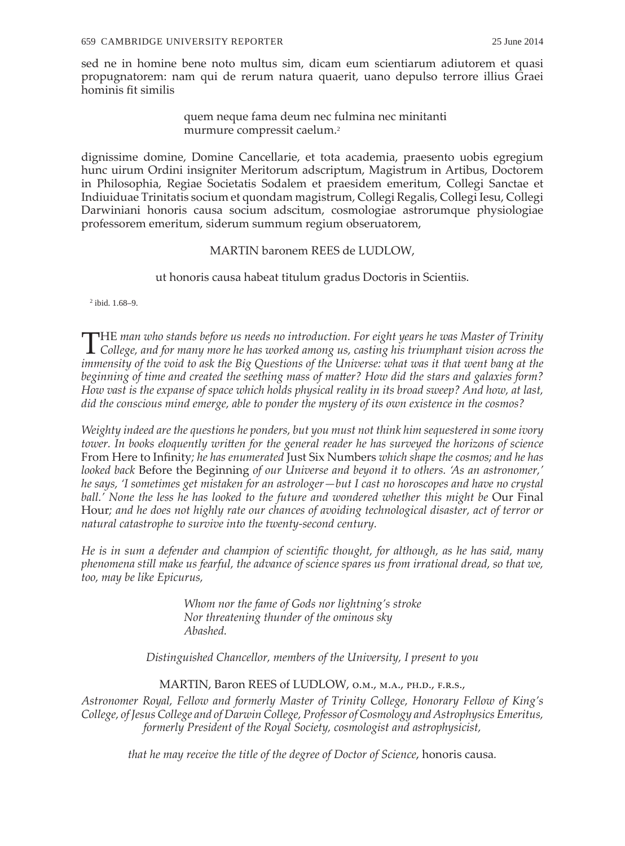sed ne in homine bene noto multus sim, dicam eum scientiarum adiutorem et quasi propugnatorem: nam qui de rerum natura quaerit, uano depulso terrore illius Graei hominis fit similis

> quem neque fama deum nec fulmina nec minitanti murmure compressit caelum.<sup>2</sup>

dignissime domine, Domine Cancellarie, et tota academia, praesento uobis egregium hunc uirum Ordini insigniter Meritorum adscriptum, Magistrum in Artibus, Doctorem in Philosophia, Regiae Societatis Sodalem et praesidem emeritum, Collegi Sanctae et Indiuiduae Trinitatis socium et quondam magistrum, Collegi Regalis, Collegi Iesu, Collegi Darwiniani honoris causa socium adscitum, cosmologiae astrorumque physiologiae professorem emeritum, siderum summum regium obseruatorem,

## MARTIN baronem REES de LUDLOW,

ut honoris causa habeat titulum gradus Doctoris in Scientiis.

2 ibid. 1.68–9.

THE *man who stands before us needs no introduction. For eight years he was Master of Trinity College, and for many more he has worked among us, casting his triumphant vision across the immensity of the void to ask the Big Questions of the Universe: what was it that went bang at the beginning of time and created the seething mass of matter? How did the stars and galaxies form? How vast is the expanse of space which holds physical reality in its broad sweep? And how, at last, did the conscious mind emerge, able to ponder the mystery of its own existence in the cosmos?*

*Weighty indeed are the questions he ponders, but you must not think him sequestered in some ivory tower. In books eloquently written for the general reader he has surveyed the horizons of science*  From Here to Infinity*; he has enumerated* Just Six Numbers *which shape the cosmos; and he has looked back* Before the Beginning *of our Universe and beyond it to others. 'As an astronomer,' he says, 'I sometimes get mistaken for an astrologer—but I cast no horoscopes and have no crystal*  ball.' None the less he has looked to the future and wondered whether this might be Our Final Hour*; and he does not highly rate our chances of avoiding technological disaster, act of terror or natural catastrophe to survive into the twenty-second century.*

*He is in sum a defender and champion of scientific thought, for although, as he has said, many phenomena still make us fearful, the advance of science spares us from irrational dread, so that we, too, may be like Epicurus,*

> *Whom nor the fame of Gods nor lightning's stroke Nor threatening thunder of the ominous sky Abashed.*

*Distinguished Chancellor, members of the University, I present to you*

MARTIN, Baron REES of LUDLOW, O.M., M.A., PH.D., F.R.S.,

*Astronomer Royal, Fellow and formerly Master of Trinity College, Honorary Fellow of King's College, of Jesus College and of Darwin College, Professor of Cosmology and Astrophysics Emeritus, formerly President of the Royal Society, cosmologist and astrophysicist,* 

*that he may receive the title of the degree of Doctor of Science*, honoris causa*.*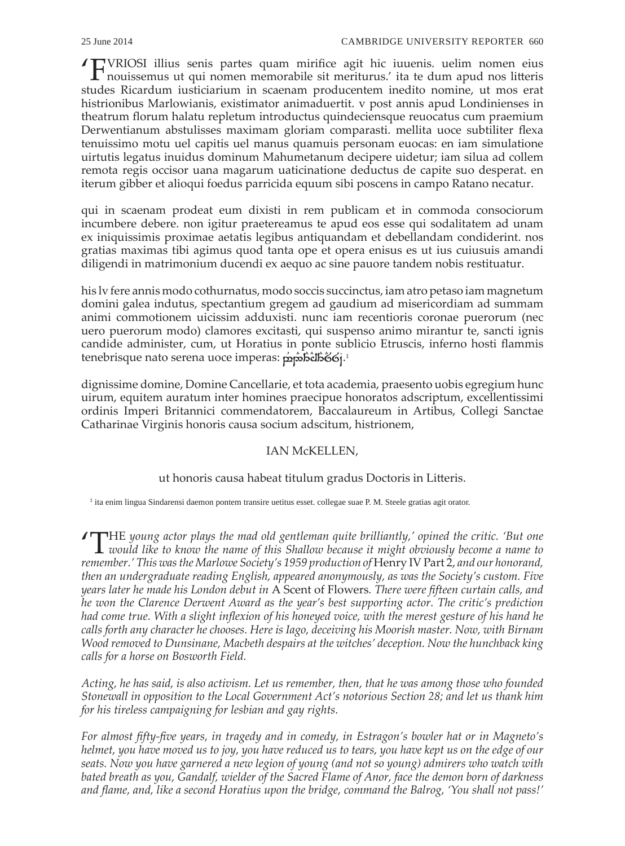'FVRIOSI illius senis partes quam mirifice agit hic iuuenis. uelim nomen eius  $\Gamma$ nouissemus ut qui nomen memorabile sit meriturus.' ita te dum apud nos litteris studes Ricardum iusticiarium in scaenam producentem inedito nomine, ut mos erat histrionibus Marlowianis, existimator animaduertit. v post annis apud Londinienses in theatrum florum halatu repletum introductus quindeciensque reuocatus cum praemium Derwentianum abstulisses maximam gloriam comparasti. mellita uoce subtiliter flexa tenuissimo motu uel capitis uel manus quamuis personam euocas: en iam simulatione uirtutis legatus inuidus dominum Mahumetanum decipere uidetur; iam silua ad collem remota regis occisor uana magarum uaticinatione deductus de capite suo desperat. en iterum gibber et alioqui foedus parricida equum sibi poscens in campo Ratano necatur.

qui in scaenam prodeat eum dixisti in rem publicam et in commoda consociorum incumbere debere. non igitur praetereamus te apud eos esse qui sodalitatem ad unam ex iniquissimis proximae aetatis legibus antiquandam et debellandam condiderint. nos gratias maximas tibi agimus quod tanta ope et opera enisus es ut ius cuiusuis amandi diligendi in matrimonium ducendi ex aequo ac sine pauore tandem nobis restituatur.

his lv fere annis modo cothurnatus, modo soccis succinctus, iam atro petaso iam magnetum domini galea indutus, spectantium gregem ad gaudium ad misericordiam ad summam animi commotionem uicissim adduxisti. nunc iam recentioris coronae puerorum (nec uero puerorum modo) clamores excitasti, qui suspenso animo mirantur te, sancti ignis candide administer, cum, ut Horatius in ponte sublicio Etruscis, inferno hosti flammis tenebrisque nato serena uoce imperas: ppääläö6j.<sup>1</sup>

dignissime domine, Domine Cancellarie, et tota academia, praesento uobis egregium hunc uirum, equitem auratum inter homines praecipue honoratos adscriptum, excellentissimi ordinis Imperi Britannici commendatorem, Baccalaureum in Artibus, Collegi Sanctae Catharinae Virginis honoris causa socium adscitum, histrionem,

# IAN McKELLEN,

## ut honoris causa habeat titulum gradus Doctoris in Litteris.

<sup>1</sup> ita enim lingua Sindarensi daemon pontem transire uetitus esset. collegae suae P. M. Steele gratias agit orator.

'THE *young actor plays the mad old gentleman quite brilliantly,' opined the critic. 'But one would like to know the name of this Shallow because it might obviously become a name to remember.' This was the Marlowe Society's 1959 production of* Henry IV Part 2, *and our honorand, then an undergraduate reading English, appeared anonymously, as was the Society's custom. Five years later he made his London debut in* A Scent of Flowers*. There were fifteen curtain calls, and he won the Clarence Derwent Award as the year's best supporting actor. The critic's prediction had come true. With a slight inflexion of his honeyed voice, with the merest gesture of his hand he calls forth any character he chooses. Here is Iago, deceiving his Moorish master. Now, with Birnam Wood removed to Dunsinane, Macbeth despairs at the witches' deception. Now the hunchback king calls for a horse on Bosworth Field.*

*Acting, he has said, is also activism. Let us remember, then, that he was among those who founded Stonewall in opposition to the Local Government Act's notorious Section 28; and let us thank him for his tireless campaigning for lesbian and gay rights.*

*For almost fifty-five years, in tragedy and in comedy, in Estragon's bowler hat or in Magneto's helmet, you have moved us to joy, you have reduced us to tears, you have kept us on the edge of our seats. Now you have garnered a new legion of young (and not so young) admirers who watch with bated breath as you, Gandalf, wielder of the Sacred Flame of Anor, face the demon born of darkness and flame, and, like a second Horatius upon the bridge, command the Balrog, 'You shall not pass!'*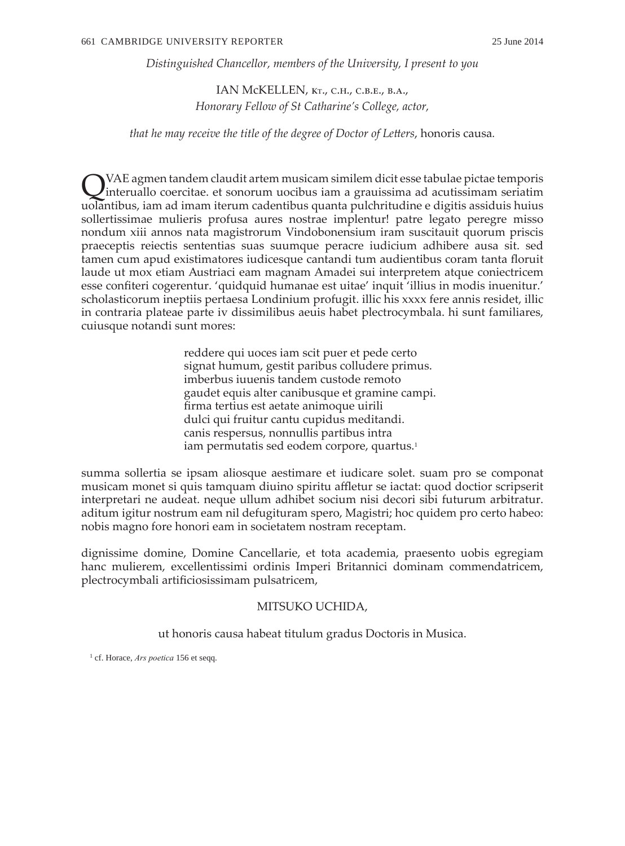*Distinguished Chancellor, members of the University, I present to you*

IAN McKELLEN, kt., c.h., c.b.e., b.a., *Honorary Fellow of St Catharine's College, actor,* 

*that he may receive the title of the degree of Doctor of Letters*, honoris causa*.*

QVAE agmen tandem claudit artem musicam similem dicit esse tabulae pictae temporis interuallo coercitae. et sonorum uocibus iam a grauissima ad acutissimam seriatim uolantibus, iam ad imam iterum cadentibus quanta pulchritudine e digitis assiduis huius sollertissimae mulieris profusa aures nostrae implentur! patre legato peregre misso nondum xiii annos nata magistrorum Vindobonensium iram suscitauit quorum priscis praeceptis reiectis sententias suas suumque peracre iudicium adhibere ausa sit. sed tamen cum apud existimatores iudicesque cantandi tum audientibus coram tanta floruit laude ut mox etiam Austriaci eam magnam Amadei sui interpretem atque coniectricem esse confiteri cogerentur. 'quidquid humanae est uitae' inquit 'illius in modis inuenitur.' scholasticorum ineptiis pertaesa Londinium profugit. illic his xxxx fere annis residet, illic in contraria plateae parte iv dissimilibus aeuis habet plectrocymbala. hi sunt familiares, cuiusque notandi sunt mores:

> reddere qui uoces iam scit puer et pede certo signat humum, gestit paribus colludere primus. imberbus iuuenis tandem custode remoto gaudet equis alter canibusque et gramine campi. firma tertius est aetate animoque uirili dulci qui fruitur cantu cupidus meditandi. canis respersus, nonnullis partibus intra iam permutatis sed eodem corpore, quartus.<sup>1</sup>

summa sollertia se ipsam aliosque aestimare et iudicare solet. suam pro se componat musicam monet si quis tamquam diuino spiritu affletur se iactat: quod doctior scripserit interpretari ne audeat. neque ullum adhibet socium nisi decori sibi futurum arbitratur. aditum igitur nostrum eam nil defugituram spero, Magistri; hoc quidem pro certo habeo: nobis magno fore honori eam in societatem nostram receptam.

dignissime domine, Domine Cancellarie, et tota academia, praesento uobis egregiam hanc mulierem, excellentissimi ordinis Imperi Britannici dominam commendatricem, plectrocymbali artificiosissimam pulsatricem,

### MITSUKO UCHIDA,

ut honoris causa habeat titulum gradus Doctoris in Musica.

<sup>1</sup> cf. Horace, *Ars poetica* 156 et seqq.